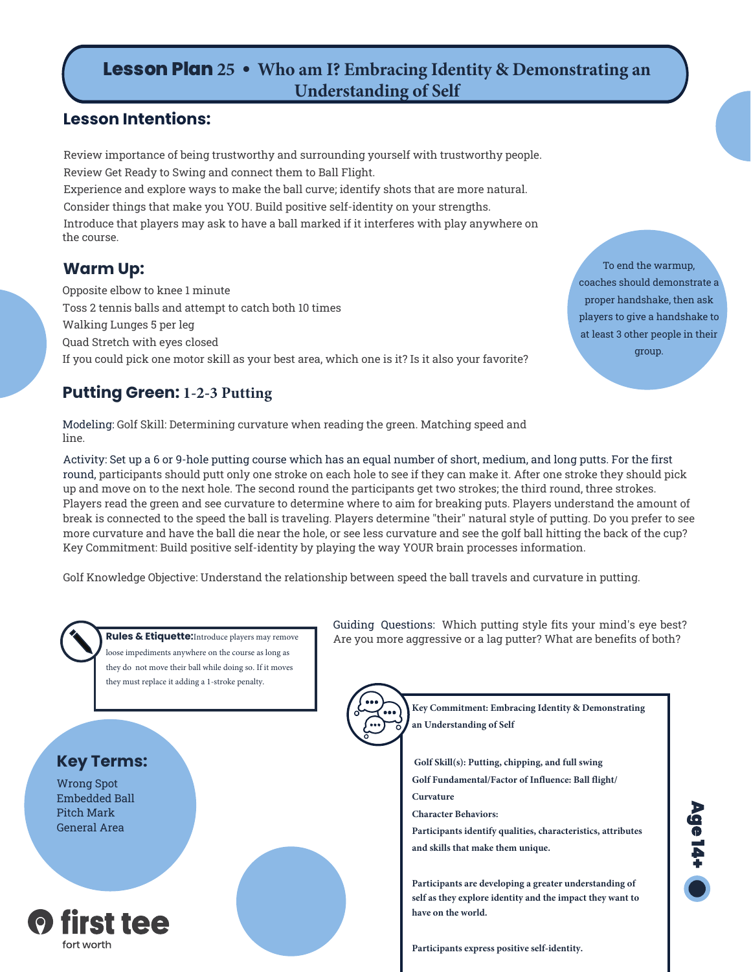# **Lesson Plan 25 • Who am I? Embracing Identity & Demonstrating an Understanding of Self**

### **Lesson Intentions:**

Review importance of being trustworthy and surrounding yourself with trustworthy people. Review Get Ready to Swing and connect them to Ball Flight. Experience and explore ways to make the ball curve; identify shots that are more natural. Consider things that make you YOU. Build positive self-identity on your strengths. Introduce that players may ask to have a ball marked if it interferes with play anywhere on the course.

### **Warm Up:**

Opposite elbow to knee 1 minute Toss 2 tennis balls and attempt to catch both 10 times Walking Lunges 5 per leg Quad Stretch with eyes closed If you could pick one motor skill as your best area, which one is it? Is it also your favorite?

**Putting Green: 1-2-3 Putting**

Modeling: Golf Skill: Determining curvature when reading the green. Matching speed and line.

Activity: Set up a 6 or 9-hole putting course which has an equal number of short, medium, and long putts. For the first round, participants should putt only one stroke on each hole to see if they can make it. After one stroke they should pick up and move on to the next hole. The second round the participants get two strokes; the third round, three strokes. Players read the green and see curvature to determine where to aim for breaking puts. Players understand the amount of break is connected to the speed the ball is traveling. Players determine "their" natural style of putting. Do you prefer to see more curvature and have the ball die near the hole, or see less curvature and see the golf ball hitting the back of the cup? Key Commitment: Build positive self-identity by playing the way YOUR brain processes information.

Golf Knowledge Objective: Understand the relationship between speed the ball travels and curvature in putting.



loose impediments anywhere on the course as long as they do not move their ball while doing so. If it moves they must replace it adding a 1-stroke penalty.

# **Key Terms:**

Wrong Spot Embedded Ball Pitch Mark General Area



Guiding Questions: Which putting style fits your mind's eye best? Rules & Etiquette: Introduce players may remove | Are you more aggressive or a lag putter? What are benefits of both?

> **Key Commitment: Embracing Identity & Demonstrating an Understanding of Self**

**Golf Skill(s): Putting, chipping, and full swing Golf Fundamental/Factor of Influence: Ball flight/**

**Curvature**

**Character Behaviors:** 

**Participants identify qualities, characteristics, attributes and skills that make them unique.**

**Participants are developing a greater understanding of self as they explore identity and the impact they want to have on the world.**

**Participants express positive self-identity.**



To end the warmup, coaches should demonstrate a proper handshake, then ask players to give a handshake to at least 3 other people in their group.